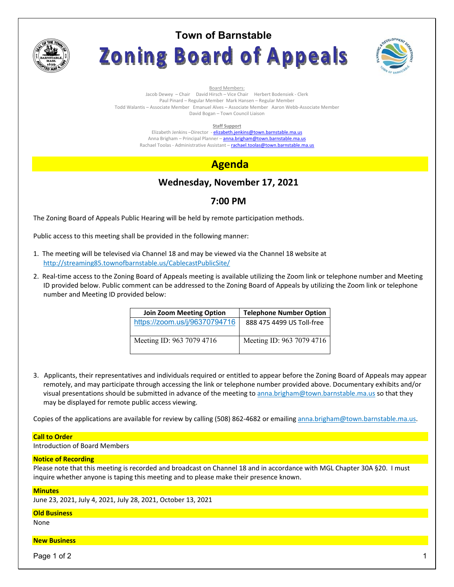

# **Town of Barnstable** Zoning Board of Appeals



Board Members: Jacob Dewey – Chair David Hirsch – Vice Chair Herbert Bodensiek - Clerk Paul Pinard – Regular Member Mark Hansen – Regular Member Todd Walantis – Associate Member Emanuel Alves – Associate Member Aaron Webb-Associate Member David Bogan – Town Council Liaison

#### **Staff Support**

Elizabeth Jenkins -Director - elizabeth.jenkins@town.barnstable.ma.us Anna Brigham - Principal Planner - anna.brigham@town.barnstable.ma.us Rachael Toolas - Administrative Assistant - rachael.toolas@town.barnstable.ma.us

# **Agenda**

# **Wednesday, November 17, 2021**

## **7:00 PM**

The Zoning Board of Appeals Public Hearing will be held by remote participation methods.

Public access to this meeting shall be provided in the following manner:

- 1. The meeting will be televised via Channel 18 and may be viewed via the Channel 18 website at http://streaming85.townofbarnstable.us/CablecastPublicSite/
- 2. Real-time access to the Zoning Board of Appeals meeting is available utilizing the Zoom link or telephone number and Meeting ID provided below. Public comment can be addressed to the Zoning Board of Appeals by utilizing the Zoom link or telephone number and Meeting ID provided below:

| <b>Join Zoom Meeting Option</b> | <b>Telephone Number Option</b> |
|---------------------------------|--------------------------------|
| https://zoom.us/j/96370794716   | 888 475 4499 US Toll-free      |
| Meeting ID: 963 7079 4716       | Meeting ID: 963 7079 4716      |

3. Applicants, their representatives and individuals required or entitled to appear before the Zoning Board of Appeals may appear remotely, and may participate through accessing the link or telephone number provided above. Documentary exhibits and/or visual presentations should be submitted in advance of the meeting to anna.brigham@town.barnstable.ma.us so that they may be displayed for remote public access viewing.

Copies of the applications are available for review by calling (508) 862-4682 or emailing anna.brigham@town.barnstable.ma.us.

#### **Call to Order**

Introduction of Board Members

#### **Notice of Recording**

Please note that this meeting is recorded and broadcast on Channel 18 and in accordance with MGL Chapter 30A §20. I must inquire whether anyone is taping this meeting and to please make their presence known.

#### **Minutes**

June 23, 2021, July 4, 2021, July 28, 2021, October 13, 2021

### **Old Business**

None

#### **New Business**

Page 1 of 2  $\hphantom{\ddots}$